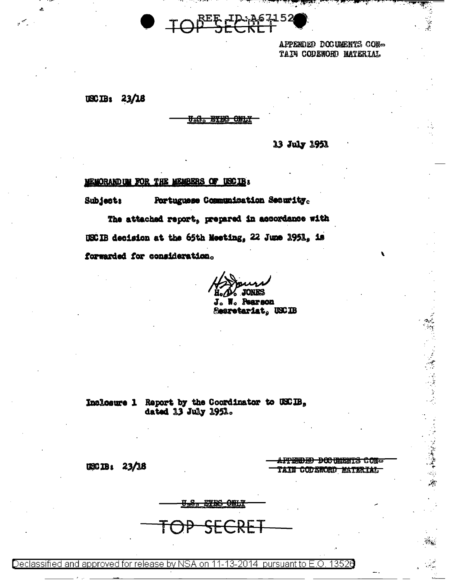

APPENDED DOCUMENTS COM-TAIN CODEWORD MATERIAL

USCIB: 23/18

<del>U.S. BYES ONL</del>

13 July 1951

MEMORANDUM FOR THE MEMBERS OF USCIB:

Portuguese Communication Security. Subjects The attached report, prepared in accordance with USCIB decision at the 65th Meeting, 22 June 1951, is forwarded for consideration.

**JONES** 

J. W. Pearson Secretariat, USCIB

Inclosure 1 Report by the Coordinator to USCIB, dated 13 July 1951.

USC IB: 23/18

<del>LPEDED DOCUMENTS CON-</del> <u>TAIN CODENORD MATERIAL</u>

**《大学》 医学家的 医生物** 

计计算量字符

妥妥 <del>ohl.</del>

Declassified and approved for release by NSA on 11-13-2014 pursuant to E.O. 13526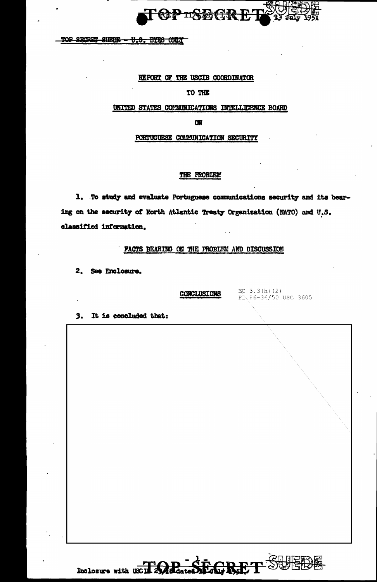

TOP SECRET SUEDE - U.S. EYES ONLY

#### REPORT OF THE USCIB COORDINATOR

#### TO THE

#### UNITED STATES CONDUNICATIONS INTELLIGENCE BOARD

#### $C\!N$

#### PORTUGUESE COLLUNICATION SECURITY

#### THE PROBLEM

1. To study and evaluate Portuguese communications security and its bearing on the security of North Atlantic Treaty Organization (NATO) and U.S. classified information.

#### FACTS BEARING ON THE PROBLEM AND DISCUSSION

2. See Enclosure.

**CONCLUSIONS** 

EO  $3.3(h)$  (2) PL 86-36/50 USC 3605

3. It is concluded that:

Inclosure with USCI 29 Paster Month R.E. T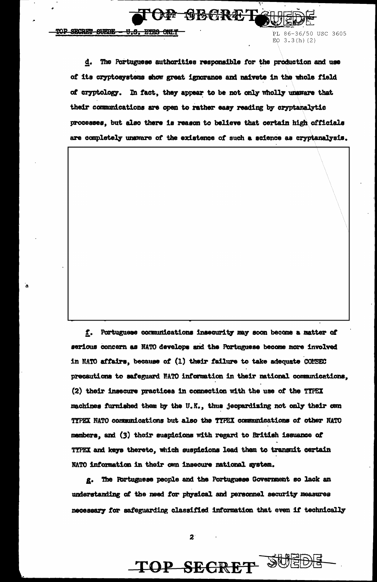de gberæ

**TOP SECRET SUEDE** <del>U.S. ETES ONLY</del>

PL 86-36/50 USC 3605 EQ  $3.3(h)(2)$ 

d. The Portuguese authorities responsible for the production and use of its cryptosystems show great ignorance and naivete in the whole field of cryptology. In fact, they appear to be not only wholly unsware that their communications are open to rather easy reading by cryptanalytic processes, but also there is reason to believe that certain high officials are completely unaware of the existence of such a science as cryptanalysis.

Portuguese communications insecurity may soon become a matter of f. serious concern as NATO develops and the Portuguese become more involved in NATO affairs, because of (1) their failure to take adequate COMSEC precautions to safeguard NATO information in their national communications, (2) their insecure practices in connection with the use of the TYPEX machines furnished them by the U.K., thus jeopardizing not only their own TYPEX NATO communications but also the TYPEX communications of other NATO members, and (3) their suspicions with regard to British issuance of TYPEX and keys thereto, which suspicions lead them to transmit certain NATO information in their own insecure national system.

g. The Portuguese people and the Portuguese Government so lack an understanding of the need for physical and personnel security measures necessary for safeguarding classified information that even if technically

TOP SECRET SUED

 $\mathbf{z}$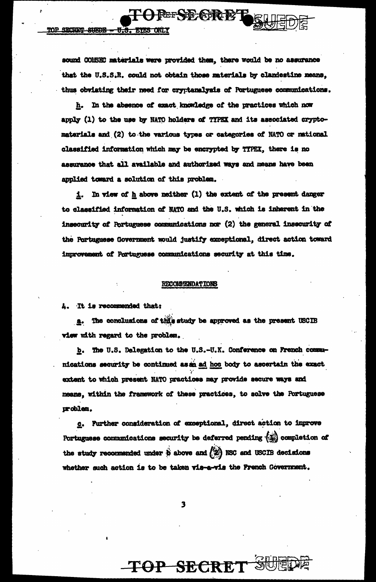TOP SECRET 名形形的 <del>u.s. Eves only</del>

> sound COMSEC materials were provided them, there would be no assurance that the U.S.S.R. could not obtain those materials by clandestine means, thus obviating their need for cryptanalysis of Portuguese communications.

OPEFSEGRET

h. In the absence of exact knowledge of the practices which now apply (1) to the use by NATO holders of TYPEX and its associated cryptomaterials and (2) to the various types or categories of NATO or national classified information which may be encrypted by TTPEX, there is no assurance that all available and authorized ways and means have been applied toward a solution of this problem.

i. In view of h above neither (1) the extent of the present danger to classified information of NATO and the U.S. which is inherent in the insecurity of Portuguese communications nor (2) the general insecurity of the Portuguese Government would justify exceptional, direct action toward improvement of Portuguese communications security at this time.

#### RECOMMENDATIONS

4. It is recommended that:

a. The conclusions of this study be approved as the present USCIB view with regard to the problem.

b. The U.S. Delegation to the U.S.-U.K. Conference on French communications security be continued as an ad hoc body to ascertain the exact extent to which present NATO practices may provide secure ways and means, within the framework of these practices, to solve the Portuguese problem.

c. Further consideration of exceptional, direct action to improve Portuguese communications security be deferred pending  $\langle \psi \rangle$  completion of the study recommended under  $\phi$  above and  $\binom{2}{2}$  NSC and USCIB decisions whether such action is to be taken vis-a-vis the French Government.

 $\overline{\mathbf{3}}$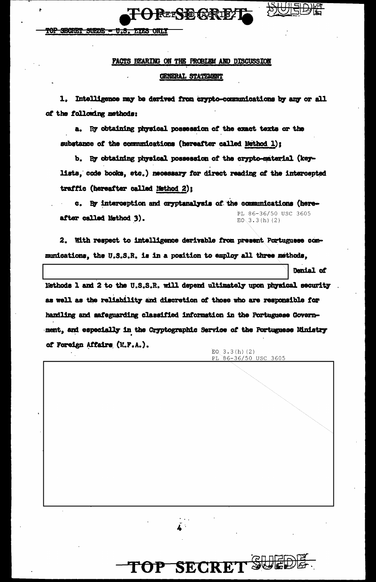T<del>OP SECRET</del>

### FACTS BEARING ON THE PROBLEM AND DISCUSSION

REFSE GRIEZ

#### **GENERAL STATEMENT**

1. Intelligence may be derived from crypto-communications by any or all of the following methods:

a. By obtaining physical possession of the exact texts or the substance of the communications (hereafter called Method 1);

b. By obtaining physical possession of the crypto-material (keylists, code books, etc.) necessary for direct reading of the intercepted traffic (hereafter called Method 2);

c. By interception and cryptanalysis of the communications (here-PL 86-36/50 USC 3605 after called Method 3).  $E0, 3.3(h)$  (2)

2. With respect to intelligence derivable from present Portuguese communications, the U.S.S.R. is in a position to employ all three methods.

Denial of

Methods 1 and 2 to the U.S.S.R. will depend ultimately upon physical security as well as the reliability and discretion of those who are responsible for handling and aafeguarding classified information in the Portuguese Government, and especially in the Cryptographic Service of the Portuguese Ministry of Foreign Affairs (M.F.A.).

EQ  $3.3(h)(2)$ PL 86-36/50 USC 3605

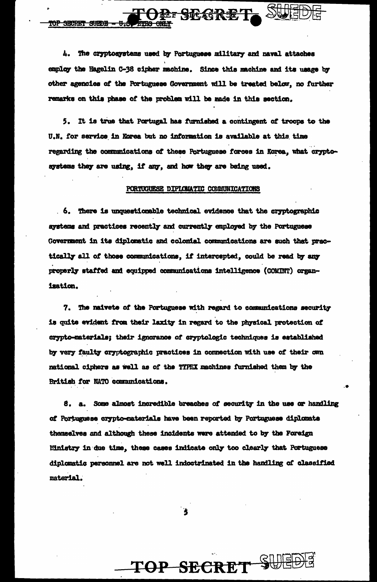The cryptosystems used by Portuguese military and naval attaches **L.** employ the Hagelin C-38 cipher machine. Since this machine and its usage by other agencies of the Portuguese Government will be treated below, no further remarks on this phase of the problem will be made in this section.

SEGRET

 $\frac{1}{2}$ 

5. It is true that Portugal has furnished a contingent of troops to the U.N. for service in Korea but no information is available at this time regarding the communications of these Portuguese forces in Korea, what cryptosystems they are using, if any, and how they are being used.

#### PORTUGUESE DIPLOMATIC COLMUNICATIONS

6. There is unquestionable technical evidence that the cryptographic systems and practices recently and currently employed by the Portuguese Government in its diplomatic and colonial communications are such that practically all of those communications, if intercepted, could be read by any properly staffed and equipped communications intelligence (COMINT) organization.

7. The naivete of the Portuguese with regard to communications security is quite evident from their laxity in regard to the physical protection of crypto-materials; their ignorance of cryptologic techniques is established by very faulty cryptographic practices in connection with use of their own national ciphers as well as of the TYPEX machines furnished them by the British for NATO communications.

8. a. Some almost incredible breaches of security in the use or handling of Portuguese crypto-materials have been reported by Portuguese diplomats themselves and although these incidents were attended to by the Foreign Ministry in due time, these cases indicate only too clearly that Portuguese diplomatic personnel are not well indoctrinated in the handling of classified material.

TOP SECRET SWEDE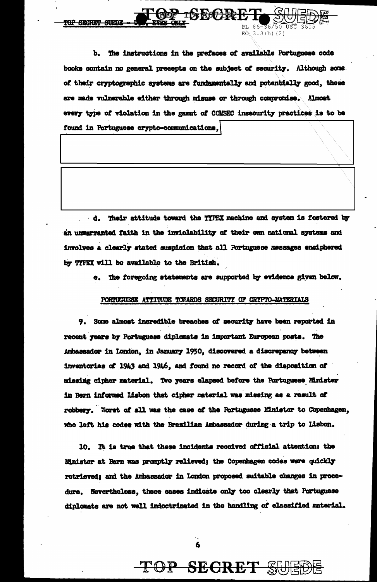The instructions in the prefaces of available Portuguese code Ъ. books contain no general precepts on the subject of security. Although some. of their cryptographic systems are fundamentally and potentially good, these are made vulnerable either through misuse or through compromise. Almost every type of violation in the gamat of COMSEC insecurity practices is to be found in Portuguese crypto-communications.

**TD: AGF-152** 

 $E\ddot{\mathcal{O}}_{\odot}$  3.3(h)(2)

**SRCREP** 

simni

d. Their attitude toward the TYPEX machine and system is fostered by an unwarranted faith in the inviolability of their own national systems and involves a clearly stated suspicion that all Portuguese messages enciphered by TYPEX will be available to the British.

The foregoing statements are supported by evidence given below.

#### PORTUGUESE ATTITUDE TOWARDS SECURITY OF CRYPTO-MATERIALS

9. Some almost incredible breaches of security have been reported in recent years by Portuguese diplomats in important European posts. The Ambassador in London, in January 1950, discovered a discrepancy between inventories of 1943 and 1946, and found no record of the disposition of missing cipher material. Two years elapsed before the Portuguese Minister in Bern informed Lisbon that cipher material was missing as a result of robbery. Worst of all was the case of the Portuguese Einister to Copenhagen, who left his codes with the Brazilian Ambassador during a trip to Lisbon.

10. It is true that these incidents received official attention: the Minister at Bern was promptly relieved; the Copenhagen codes were quickly retrieved; and the Ambassador in London proposed suitable changes in procedure. Nevertheless, these cases indicate only too clearly that Portuguese diplomats are not well indoctrinated in the handling of classified material.

6

TOP SECRET SUFF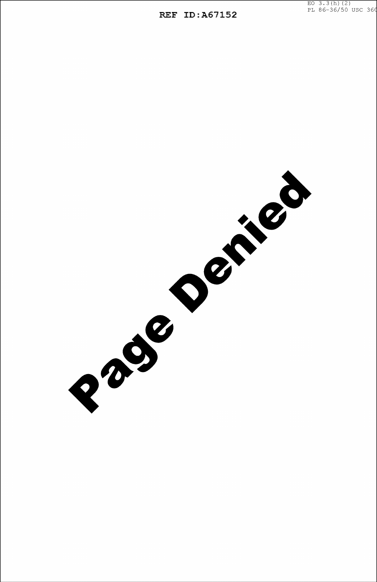**REF ID: A67152** 

Page Denied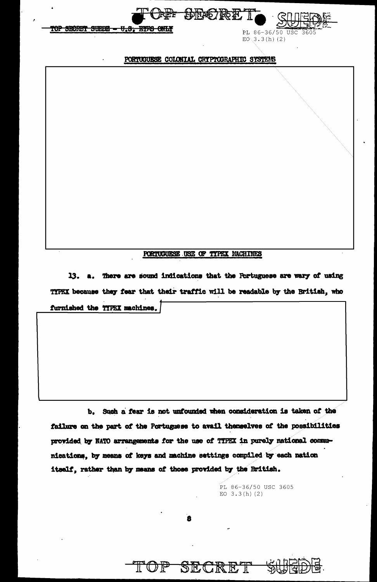TOP SECRET SUBBER <del>4.8.</del> PL 86-36/50 USC  $3605$  $E0\$  3.3(h)(2)

#### PORTUGUESE COLONIAL CRYPTOGRAPHIC SYSTEMS

**DRAG ROFT** 

#### PORTUGUESE USE OF TYPEX MACHINES

13. a. There are sound indications that the Portuguese are wary of using TYPEX because they fear that their traffic will be readable by the British, who furnished the TTPEX machines.

b. Such a fear is not unfounded when consideration is taken of the failure on the part of the Portuguese to avail themselves of the possibilities provided by NATO arrangements for the use of TIPEX in purely national communications, by means of keys and machine settings compiled by each nation itself, rather than by means of those provided by the British.

ß

 $F$ 

SECR

PL 86-36/50 USC 3605 EO  $3.3(h)$  (2)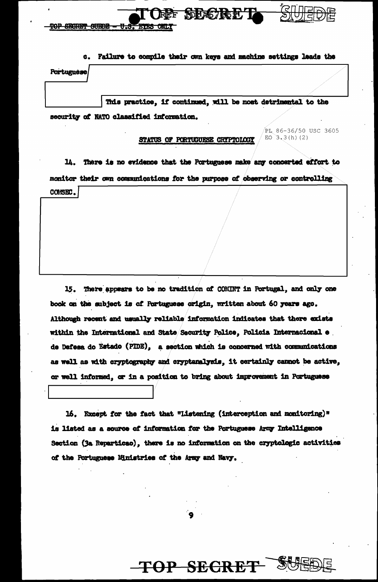TOP SECRET SUEDE - U.S. ETES ONLY

#### Failure to compile their own keys and machine settings leads the  $\mathbf{c}_{\bullet}$

NE SECRET

Portuguese

This practice, if continued, will be most detrimental to the security of NATO classified information.

#### STATUS OF PORTUGUESE CRYPTOLOGY

PL 86-36/50 USC 3605 EO  $3\sqrt{3}$  (h) (2)

14. There is no evidence that the Portuguese make any concerted effort to monitor their own communications for the purpose of observing or controlling COMSEC.

15. There appears to be no tradition of COMINT in Portugal, and only one book on the subject is of Portuguese origin, written about 60 years ago. Although recent and usually reliable information indicates that there exists within the International and State Security Police, Policia Internacional e de Defesa do Estado (PIDE), a section which is concerned with communications as well as with cryptography and cryptanalysis, it certainly cannot be active, or well informed, or in a position to bring about improvement in Portuguese

16. Except for the fact that "Listening (interception and monitoring)" is listed as a source of information for the Portuguese Army Intelligence Section (3a Reparticae), there is no information on the cryptologic activities of the Portuguese Ministries of the Army and Navy.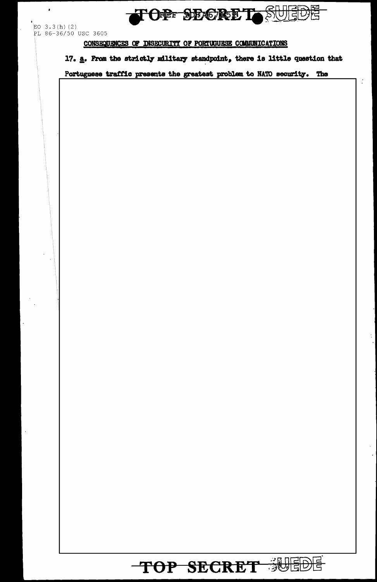$\ddot{\phantom{a}}$ 



17. a. From the strictly military standpoint, there is little question that

Portuguese traffic presents the greatest problem to NATO security. The

TOP SPORET

文山印度

# TOP SECRET SUE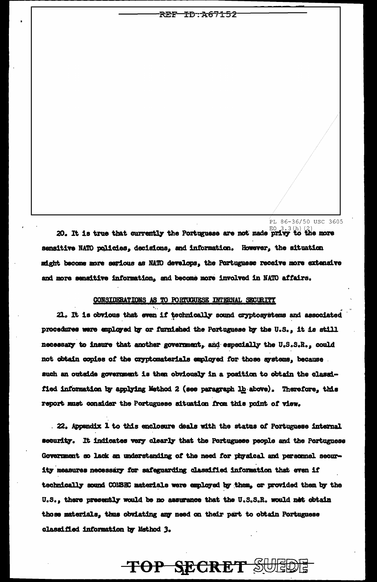#### ID:A67152 RFF

.<br>PL 86-36/50 USC 3605 20. It is true that currently the Portuguese are not made  $\frac{E}{E}$  privy to the more sensitive NATO policies, decisions, and information. However, the situation might become more serious as NATO develops, the Portuguese receive more extensive and more sensitive information, and become more involved in NATO affairs.

#### CONSIDERATIONS AS TO PORTUGUESE INTERNAL SECURITY

21. It is obvious that even if technically sound cryptosystems and associated procedures were employed by or furnished the Portuguese by the U.S., it is still necessary to insure that another government, and especially the U.S.S.R., could not obtain copies of the cryptomaterials employed for those systems, because such an outside government is then obviously in a position to obtain the classified information by applying Method 2 (see paragraph 1b above). Therefore, this report must consider the Portuguese situation from this point of view.

. 22. Appendix 1 to this enclosure deals with the status of Portuguese internal security. It indicates very clearly that the Portuguese people and the Portuguese Government so lack an understanding of the need for physical and personnel security measures necessary for safeguarding classified information that even if technically sound COMSEC materials were employed by them, or provided them by the U.S., there presently would be no assurance that the U.S.S.R. would net obtain those materials, thus obviating any need on their part to obtain Portuguese classified information by Method 3.

**TOP SECRET SWED**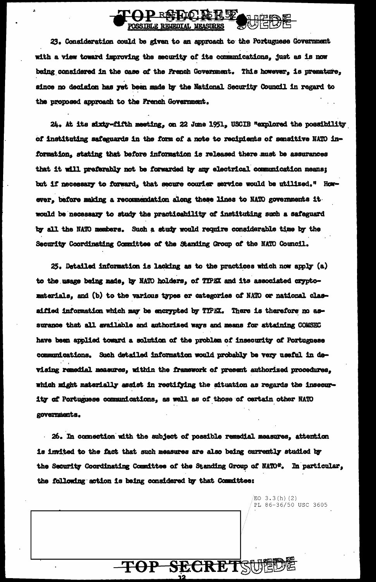## PREFLIO! AGRICE

23. Consideration could be given to an approach to the Portuguese Government with a view toward improving the security of its communications, just as is now being considered in the case of the French Government. This however, is premature, since no decision has yet been made by the National Security Council in regard to the proposed approach to the French Government.

24. At its sixty-fifth meeting, on 22 June 1951, USCIB "explored the possibility of instituting safeguards in the form of a note to recipients of sensitive NATO information, stating that before information is released there must be assurances that it will preferably not be forwarded by any electrical communication means; but if necessary to forward, that secure courier service would be utilized." However, before making a recommendation along these lines to NATO governments it would be necessary to study the practicability of instituting such a safeguard by all the NATO members. Such a study would require considerable time by the Security Coordinating Committee of the Standing Group of the NATO Council.

25. Detailed information is lacking as to the practices which now apply (a) to the usage being made, by NATO holders, of TIPEX and its associated cryptomaterials, and (b) to the various types or categories of NATO or national clasaified information which may be encrypted by TIPEX. There is therefore no assurance that all available and authorized ways and means for attaining COMSEC have been applied toward a solution of the problem of insecurity of Portuguese communications. Such detailed information would probably be very useful in devising remedial measures, within the framswork of present authorized procedures, which might materially assist in rectifying the situation as regards the insecurity of Portuguese communications, as well as of those of certain other NATO governments.

26. In connection with the subject of possible remedial measures, attention is invited to the fact that such measures are also being currently studied by the Security Coordinating Committee of the Standing Group of NATO\*. In particular, the following action is being considered by that Committee:

**TOP SECRETSUPPE** 

 $EO$  3.3(h)(2) PL 86-36/50 USC 3605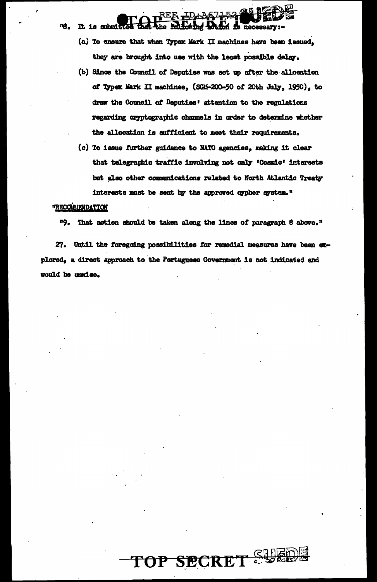- <u>eg JD.J</u> ng. It is submitted on is necessary:-
	- (a) To ensure that when Typex Mark II machines have been issued, they are brought into use with the least possible delay.
	- (b) Since the Council of Deputies was set up after the allocation of Typex Mark II machines, (SGM-200-50 of 20th July, 1950), to draw the Council of Deputies' attention to the regulations regarding cryptographic channels in order to determine whether the allocation is sufficient to meet their requirements.
	- (c) To issue further guidance to NATO agencies, making it clear that telegraphic traffic involving not only 'Cosmic' interests but also other communications related to North Atlantic Treaty interests must be sent by the approved cypher system."

### "RECOMMENDATION

**H**9. That action should be taken along the lines of paragraph 8 above."

27. Until the foregoing possibilities for remedial measures have been explored, a direct approach to the Portuguese Government is not indicated and would be unwise.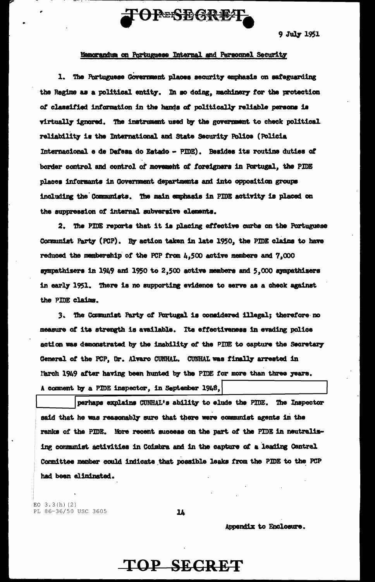

#### Manorandum on Portuguese Internal and Personnel Security

1. The Portuguese Government places security emphasis on safeguarding the Regime as a political entity. In so doing, machinery for the protection of classified information in the hands of politically reliable persons is virtually ignored. The instrument used by the government to check political reliability is the International and State Security Police (Policia Internacional e de Defesa do Estado - PIDE). Besides its routine duties of border control and control of movement of foreigners in Portugal, the PIDE places informants in Government departments and into opposition groups including the Communists. The main emphasis in PIDE activity is placed on the suppression of internal subversive elements.

2. The PIDE reports that it is placing effective curbs on the Portuguese Communist Party (PCP). By action taken in late 1950, the PIDE claims to have reduced the membership of the PCP from  $4,500$  active members and  $7,000$ sympathisers in 1949 and 1950 to 2,500 active members and 5,000 sympathizers in early 1951. There is no supporting evidence to serve as a check against the PIDE claims.

3. The Communist Party of Portugal is considered illegal; therefore no measure of its strength is available. Its effectiveness in evading police action was demonstrated by the inability of the PIDE to capture the Secretary General of the PCP, Dr. Alvaro CUNHAL. CUNHAL was finally arrested in March 1949 after having been hunted by the PIDE for more than three years. A comment by a PIDE inspector, in September 1948,

perhaps explains CUNHAL's ability to elude the PIDE. The Inspector said that he was reasonably sure that there were communist agents in the ranks of the PIDE. More recent success on the part of the PIDE in neutralising communist activities in Coimbra and in the capture of a leading Central Conmittee member could indicate that possible leaks from the PIDE to the PCP had been eliminated.

EO  $3.3(h)$  (2) PL 86-36/50 USC 3605

14

Appendix to Enclosure.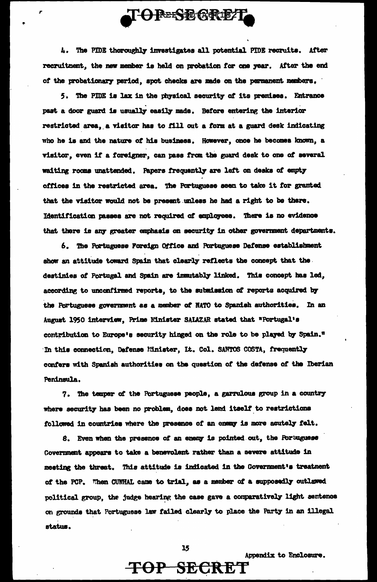4. The PIDE thoroughly investigates all potential PIDE recruits. After recruitment, the new member is held on probation for one year. After the end of the probationary period, spot checks are made on the permanent members.

TORESDGRET

5. The PIDE is lax in the physical security of its premises. Entrance past a door guard is usually easily made. Before entering the interior restricted area, a visitor has to fill out a form at a guard desk indicating who he is and the nature of his business. However, once he becomes known, a visitor, even if a foreigner, can pass from the guard desk to one of several waiting rooms unattended. Papers frequently are left on desks of empty offices in the restricted area. The Portuguese seem to take it for granted that the visitor would not be present unless he had a right to be there. Identification passes are not required of employees. There is no evidence that there is any greater emphasis on security in other government departments.

6. The Portuguese Foreign Office and Portuguese Defense establishment show an attitude toward Spain that clearly reflects the concept that the destinies of Portugal and Spain are immutably linked. This concept has led. according to unconfirmed reports, to the submission of reports acquired by the Portuguese government as a member of NATO to Spanish authorities. In an August 1950 interview, Prime Minister SAIAZAR stated that "Portugal's contribution to Europe's security hinged on the role to be played by Spain." In this connection, Defense Minister, It. Col. SANTOS COSTA, frequently confers with Spanish authorities on the question of the defense of the Iberian Peninsula.

7. The temper of the Portuguese people, a garrulous group in a country where security has been no problem, does not lend itself to restrictions followed in countries where the presence of an enemy is more acutely felt.

8. Even when the presence of an enemy is pointed out, the Portuguese Covernment appears to take a benevolent rather than a severe attitude in meeting the threat. This attitude is indicated in the Government's treatment of the PCP. When CUNHAL came to trial, as a member of a supposedly outlawed political group, the judge hearing the case gave a comparatively light sentence on grounds that Portuguese law failed clearly to place the Party in an illegal status.

15

**TOP SECRET** 

Appendix to Enclosure.